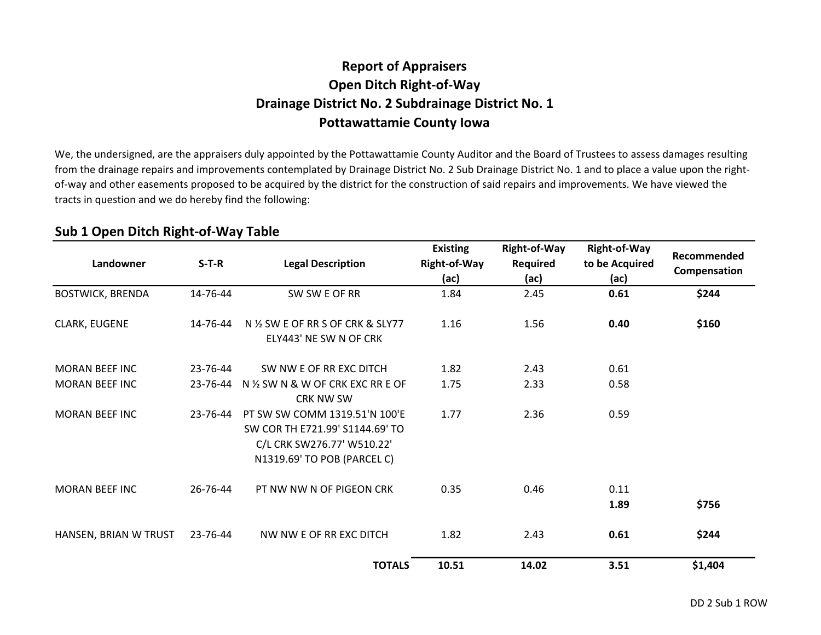## **Report of AppraisersOpen Ditch Right-of-Way Drainage District No. 2 Subdrainage District No. 1Pottawattamie County Iowa**

We, the undersigned, are the appraisers duly appointed by the Pottawattamie County Auditor and the Board of Trustees to assess damages resulting from the drainage repairs and improvements contemplated by Drainage District No. 2 Sub Drainage District No. 1 and to place a value upon the rightof-way and other easements proposed to be acquired by the district for the construction of said repairs and improvements. We have viewed the tracts in question and we do hereby find the following:

| Landowner               | $S-T-R$  | <b>Legal Description</b>                                                                                                      | <b>Existing</b><br>Right-of-Way<br>(ac) | Right-of-Way<br>Required<br>(ac) | <b>Right-of-Way</b><br>to be Acquired<br>(ac) | Recommended<br>Compensation |
|-------------------------|----------|-------------------------------------------------------------------------------------------------------------------------------|-----------------------------------------|----------------------------------|-----------------------------------------------|-----------------------------|
| <b>BOSTWICK, BRENDA</b> | 14-76-44 | SW SW E OF RR                                                                                                                 | 1.84                                    | 2.45                             | 0.61                                          | \$244                       |
| CLARK, EUGENE           | 14-76-44 | N % SW E OF RR S OF CRK & SLY77<br>ELY443' NE SW N OF CRK                                                                     | 1.16                                    | 1.56                             | 0.40                                          | \$160                       |
| <b>MORAN BEEF INC</b>   | 23-76-44 | SW NW E OF RR EXC DITCH                                                                                                       | 1.82                                    | 2.43                             | 0.61                                          |                             |
| <b>MORAN BEEF INC</b>   | 23-76-44 | N 1/2 SW N & W OF CRK EXC RR E OF<br><b>CRK NW SW</b>                                                                         | 1.75                                    | 2.33                             | 0.58                                          |                             |
| <b>MORAN BEEF INC</b>   | 23-76-44 | PT SW SW COMM 1319.51'N 100'F<br>SW COR TH E721.99' S1144.69' TO<br>C/L CRK SW276.77' W510.22'<br>N1319.69' TO POB (PARCEL C) | 1.77                                    | 2.36                             | 0.59                                          |                             |
| <b>MORAN BEEF INC</b>   | 26-76-44 | PT NW NW N OF PIGEON CRK                                                                                                      | 0.35                                    | 0.46                             | 0.11<br>1.89                                  | \$756                       |
| HANSEN, BRIAN W TRUST   | 23-76-44 | NW NW E OF RR EXC DITCH                                                                                                       | 1.82                                    | 2.43                             | 0.61                                          | \$244                       |
|                         |          | <b>TOTALS</b>                                                                                                                 | 10.51                                   | 14.02                            | 3.51                                          | \$1,404                     |

## **Sub 1 Open Ditch Right-of-Way Table**